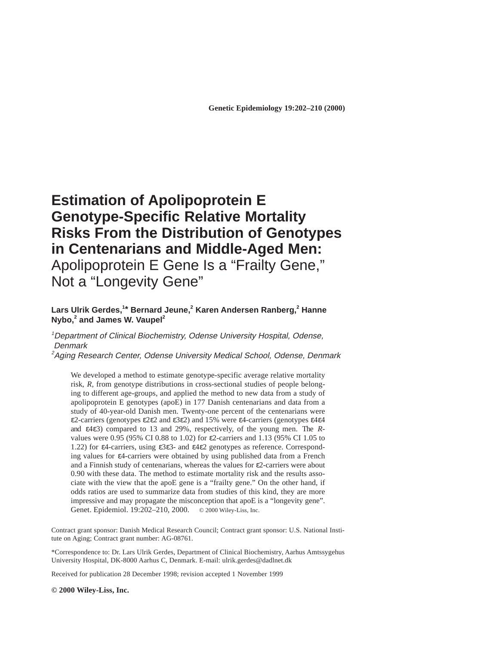# **Estimation of Apolipoprotein E Genotype-Specific Relative Mortality Risks From the Distribution of Genotypes in Centenarians and Middle-Aged Men:** Apolipoprotein E Gene Is a "Frailty Gene,"

Not a "Longevity Gene"

## **Lars Ulrik Gerdes,<sup>1</sup> \* Bernard Jeune,2 Karen Andersen Ranberg,2 Hanne Nybo,<sup>2</sup> and James W. Vaupel<sup>2</sup>**

# 1 Department of Clinical Biochemistry, Odense University Hospital, Odense, **Denmark**

<sup>2</sup>Aging Research Center, Odense University Medical School, Odense, Denmark

We developed a method to estimate genotype-specific average relative mortality risk, *R*, from genotype distributions in cross-sectional studies of people belonging to different age-groups, and applied the method to new data from a study of apolipoprotein E genotypes (apoE) in 177 Danish centenarians and data from a study of 40-year-old Danish men. Twenty-one percent of the centenarians were ε2-carriers (genotypes ε2ε2 and ε3ε2) and 15% were ε4-carriers (genotypes ε4ε4 and ε4ε3) compared to 13 and 29%, respectively, of the young men. The *R*values were 0.95 (95% CI 0.88 to 1.02) for ε2-carriers and 1.13 (95% CI 1.05 to 1.22) for ε4-carriers, using ε3ε3- and ε4ε2 genotypes as reference. Corresponding values for ε4-carriers were obtained by using published data from a French and a Finnish study of centenarians, whereas the values for  $\varepsilon$ 2-carriers were about 0.90 with these data. The method to estimate mortality risk and the results associate with the view that the apoE gene is a "frailty gene." On the other hand, if odds ratios are used to summarize data from studies of this kind, they are more impressive and may propagate the misconception that apoE is a "longevity gene". Genet. Epidemiol. 19:202–210, 2000. © 2000 Wiley-Liss, Inc.

Contract grant sponsor: Danish Medical Research Council; Contract grant sponsor: U.S. National Institute on Aging; Contract grant number: AG-08761.

\*Correspondence to: Dr. Lars Ulrik Gerdes, Department of Clinical Biochemistry, Aarhus Amtssygehus University Hospital, DK-8000 Aarhus C, Denmark. E-mail: ulrik.gerdes@dadlnet.dk

Received for publication 28 December 1998; revision accepted 1 November 1999

**© 2000 Wiley-Liss, Inc.**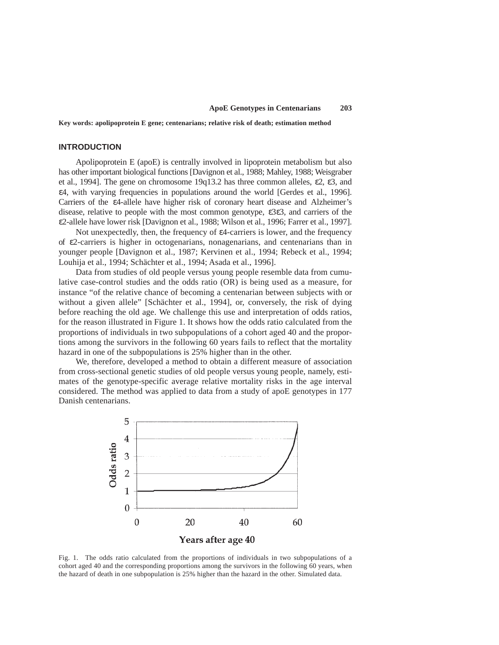**Key words: apolipoprotein E gene; centenarians; relative risk of death; estimation method**

## **INTRODUCTION**

Apolipoprotein E (apoE) is centrally involved in lipoprotein metabolism but also has other important biological functions [Davignon et al., 1988; Mahley, 1988; Weisgraber et al., 1994]. The gene on chromosome 19q13.2 has three common alleles, ε2, ε3, and ε4, with varying frequencies in populations around the world [Gerdes et al., 1996]. Carriers of the ε4-allele have higher risk of coronary heart disease and Alzheimer's disease, relative to people with the most common genotype, ε3ε3, and carriers of the ε2-allele have lower risk [Davignon et al., 1988; Wilson et al., 1996; Farrer et al., 1997].

Not unexpectedly, then, the frequency of ε4-carriers is lower, and the frequency of  $\varepsilon$ 2-carriers is higher in octogenarians, nonagenarians, and centenarians than in younger people [Davignon et al., 1987; Kervinen et al., 1994; Rebeck et al., 1994; Louhija et al., 1994; Schächter et al., 1994; Asada et al., 1996].

Data from studies of old people versus young people resemble data from cumulative case-control studies and the odds ratio (OR) is being used as a measure, for instance "of the relative chance of becoming a centenarian between subjects with or without a given allele" [Schächter et al., 1994], or, conversely, the risk of dying before reaching the old age. We challenge this use and interpretation of odds ratios, for the reason illustrated in Figure 1. It shows how the odds ratio calculated from the proportions of individuals in two subpopulations of a cohort aged 40 and the proportions among the survivors in the following 60 years fails to reflect that the mortality hazard in one of the subpopulations is 25% higher than in the other.

We, therefore, developed a method to obtain a different measure of association from cross-sectional genetic studies of old people versus young people, namely, estimates of the genotype-specific average relative mortality risks in the age interval considered. The method was applied to data from a study of apoE genotypes in 177 Danish centenarians.



Fig. 1. The odds ratio calculated from the proportions of individuals in two subpopulations of a cohort aged 40 and the corresponding proportions among the survivors in the following 60 years, when the hazard of death in one subpopulation is 25% higher than the hazard in the other. Simulated data.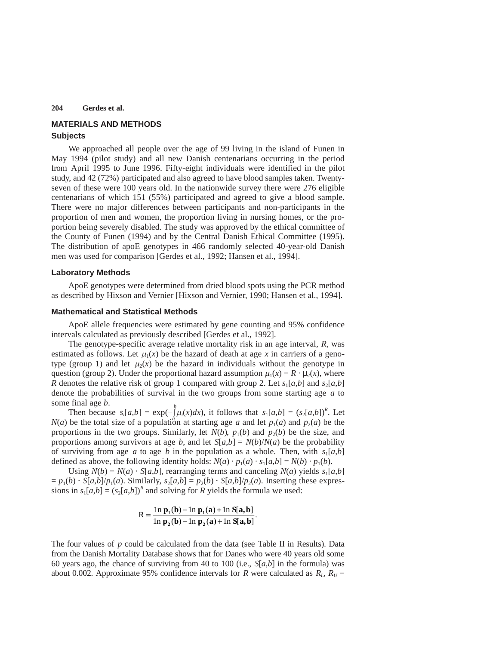## **MATERIALS AND METHODS Subjects**

We approached all people over the age of 99 living in the island of Funen in May 1994 (pilot study) and all new Danish centenarians occurring in the period from April 1995 to June 1996. Fifty-eight individuals were identified in the pilot study, and 42 (72%) participated and also agreed to have blood samples taken. Twentyseven of these were 100 years old. In the nationwide survey there were 276 eligible centenarians of which 151 (55%) participated and agreed to give a blood sample. There were no major differences between participants and non-participants in the proportion of men and women, the proportion living in nursing homes, or the proportion being severely disabled. The study was approved by the ethical committee of the County of Funen (1994) and by the Central Danish Ethical Committee (1995). The distribution of apoE genotypes in 466 randomly selected 40-year-old Danish men was used for comparison [Gerdes et al., 1992; Hansen et al., 1994].

#### **Laboratory Methods**

ApoE genotypes were determined from dried blood spots using the PCR method as described by Hixson and Vernier [Hixson and Vernier, 1990; Hansen et al., 1994].

#### **Mathematical and Statistical Methods**

ApoE allele frequencies were estimated by gene counting and 95% confidence intervals calculated as previously described [Gerdes et al., 1992].

The genotype-specific average relative mortality risk in an age interval, *R*, was estimated as follows. Let  $\mu_1(x)$  be the hazard of death at age x in carriers of a genotype (group 1) and let  $\mu_2(x)$  be the hazard in individuals without the genotype in question (group 2). Under the proportional hazard assumption  $\mu_1(x) = R \cdot \mu_2(x)$ , where *R* denotes the relative risk of group 1 compared with group 2. Let  $s_1[a,b]$  and  $s_2[a,b]$ denote the probabilities of survival in the two groups from some starting age *a* to some final age *b*.

Then because  $s_i[a,b] = \exp(-\int_a^b \mu_i(x)dx)$ , it follows that  $s_i[a,b] = (s_2[a,b])^R$ . Let *N*(*a*) be the total size of a population at starting age *a* and let  $p_1(a)$  and  $p_2(a)$  be the proportions in the two groups. Similarly, let  $N(b)$ ,  $p_1(b)$  and  $p_2(b)$  be the size, and proportions among survivors at age *b*, and let  $S[a,b] = N(b)/N(a)$  be the probability of surviving from age *a* to age *b* in the population as a whole. Then, with  $s_1[a,b]$ defined as above, the following identity holds:  $N(a) \cdot p_1(a) \cdot s_1[a,b] = N(b) \cdot p_1(b)$ .

Using  $N(b) = N(a) \cdot S[a,b]$ , rearranging terms and canceling  $N(a)$  yields  $s_1[a,b]$  $p_1(b) \cdot S[a,b]/p_1(a)$ . Similarly,  $s_2[a,b] = p_2(b) \cdot S[a,b]/p_2(a)$ . Inserting these expressions in  $s_1[a,b] = (s_2[a,b])^R$  and solving for *R* yields the formula we used:

$$
R = \frac{\ln \mathbf{p}_1(\mathbf{b}) - \ln \mathbf{p}_1(\mathbf{a}) + \ln S[\mathbf{a}, \mathbf{b}]}{\ln \mathbf{p}_2(\mathbf{b}) - \ln \mathbf{p}_2(\mathbf{a}) + \ln S[\mathbf{a}, \mathbf{b}]}.
$$

The four values of *p* could be calculated from the data (see Table II in Results). Data from the Danish Mortality Database shows that for Danes who were 40 years old some 60 years ago, the chance of surviving from 40 to 100 (i.e., *S*[*a*,*b*] in the formula) was about 0.002. Approximate 95% confidence intervals for *R* were calculated as  $R_L$ ,  $R_U$  =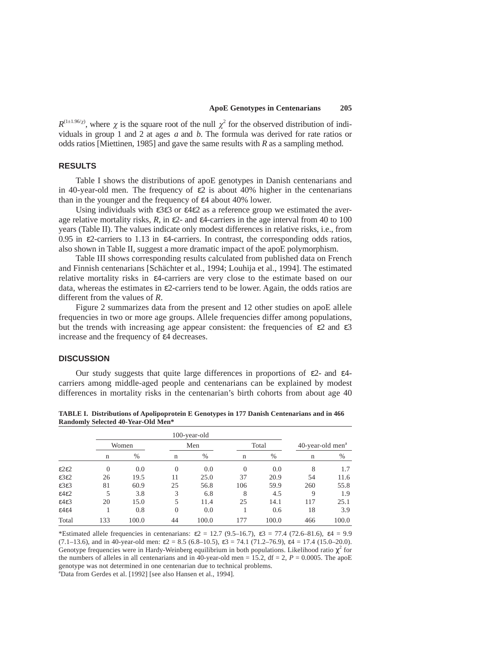$R^{(1\pm1.96/\gamma)}$ , where  $\chi$  is the square root of the null  $\chi^2$  for the observed distribution of individuals in group 1 and 2 at ages *a* and *b*. The formula was derived for rate ratios or odds ratios [Miettinen, 1985] and gave the same results with *R* as a sampling method.

# **RESULTS**

Table I shows the distributions of apoE genotypes in Danish centenarians and in 40-year-old men. The frequency of  $\varepsilon$ 2 is about 40% higher in the centenarians than in the younger and the frequency of ε4 about 40% lower.

Using individuals with ε3ε3 or ε4ε2 as a reference group we estimated the average relative mortality risks,  $R$ , in  $\epsilon$ 2- and  $\epsilon$ 4-carriers in the age interval from 40 to 100 years (Table II). The values indicate only modest differences in relative risks, i.e., from 0.95 in  $\epsilon$ 2-carriers to 1.13 in  $\epsilon$ 4-carriers. In contrast, the corresponding odds ratios, also shown in Table II, suggest a more dramatic impact of the apoE polymorphism.

Table III shows corresponding results calculated from published data on French and Finnish centenarians [Schächter et al., 1994; Louhija et al., 1994]. The estimated relative mortality risks in ε4-carriers are very close to the estimate based on our data, whereas the estimates in  $\epsilon$ 2-carriers tend to be lower. Again, the odds ratios are different from the values of *R*.

Figure 2 summarizes data from the present and 12 other studies on apoE allele frequencies in two or more age groups. Allele frequencies differ among populations, but the trends with increasing age appear consistent: the frequencies of  $\epsilon$ 2 and  $\epsilon$ 3 increase and the frequency of ε4 decreases.

#### **DISCUSSION**

Our study suggests that quite large differences in proportions of  $\epsilon$ 2- and  $\epsilon$ 4carriers among middle-aged people and centenarians can be explained by modest differences in mortality risks in the centenarian's birth cohorts from about age 40

|                           |             | 100-year-old |                |       |             |       |                              |       |
|---------------------------|-------------|--------------|----------------|-------|-------------|-------|------------------------------|-------|
|                           | Women       |              | Men            |       | Total       |       | 40-year-old men <sup>a</sup> |       |
|                           | $\mathbf n$ | $\%$         | n              | $\%$  | $\mathbf n$ | $\%$  | $\mathbf n$                  | %     |
| $\epsilon$ 2 $\epsilon$ 2 | $\theta$    | 0.0          | $\overline{0}$ | 0.0   | $\Omega$    | 0.0   | 8                            | 1.7   |
| $\epsilon$ 3 $\epsilon$ 2 | 26          | 19.5         | 11             | 25.0  | 37          | 20.9  | 54                           | 11.6  |
| $\epsilon$ 3 $\epsilon$ 3 | 81          | 60.9         | 25             | 56.8  | 106         | 59.9  | 260                          | 55.8  |
| $\epsilon$ 4 $\epsilon$ 2 | 5           | 3.8          | 3              | 6.8   | 8           | 4.5   | 9                            | 1.9   |
| $\epsilon$ 4 $\epsilon$ 3 | 20          | 15.0         | 5              | 11.4  | 25          | 14.1  | 117                          | 25.1  |
| $\epsilon$ 4 $\epsilon$ 4 |             | 0.8          | $\theta$       | 0.0   |             | 0.6   | 18                           | 3.9   |
| Total                     | 133         | 100.0        | 44             | 100.0 | 177         | 100.0 | 466                          | 100.0 |

**TABLE I. Distributions of Apolipoprotein E Genotypes in 177 Danish Centenarians and in 466 Randomly Selected 40-Year-Old Men\***

\*Estimated allele frequencies in centenarians:  $\varepsilon_2 = 12.7$  (9.5–16.7),  $\varepsilon_3 = 77.4$  (72.6–81.6),  $\varepsilon_4 = 9.9$ (7.1–13.6), and in 40-year-old men:  $\varepsilon$ 2 = 8.5 (6.8–10.5),  $\varepsilon$ 3 = 74.1 (71.2–76.9),  $\varepsilon$ 4 = 17.4 (15.0–20.0). Genotype frequencies were in Hardy-Weinberg equilibrium in both populations. Likelihood ratio  $\chi^2$  for the numbers of alleles in all centenarians and in 40-year-old men = 15.2, df = 2,  $P = 0.0005$ . The apoE genotype was not determined in one centenarian due to technical problems. a Data from Gerdes et al. [1992] [see also Hansen et al., 1994].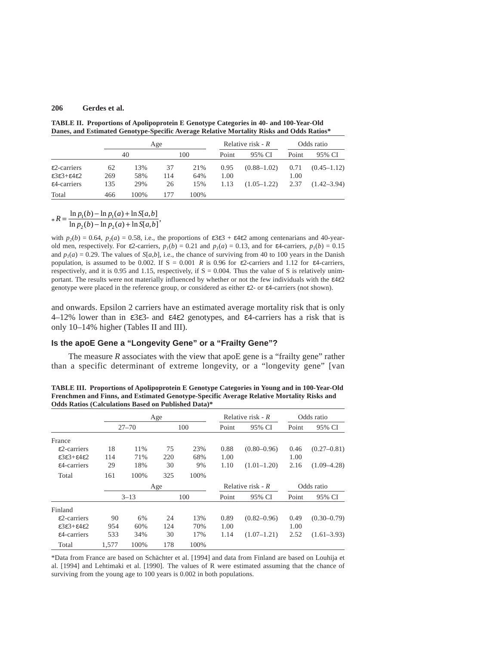**TABLE II. Proportions of Apolipoprotein E Genotype Categories in 40- and 100-Year-Old Danes, and Estimated Genotype-Specific Average Relative Mortality Risks and Odds Ratios\***

|                                                      |     | Age  |     |      |       | Relative risk - $R$ |       | Odds ratio      |  |
|------------------------------------------------------|-----|------|-----|------|-------|---------------------|-------|-----------------|--|
|                                                      |     | 40   |     | 100  | Point | 95% CI              | Point | 95% CI          |  |
| $\epsilon$ 2-carriers                                | 62  | 13%  | 37  | 21%  | 0.95  | $(0.88 - 1.02)$     | 0.71  | $(0.45 - 1.12)$ |  |
| $\epsilon$ 3 $\epsilon$ 3+ $\epsilon$ 4 $\epsilon$ 2 | 269 | 58%  | 114 | 64%  | 1.00  |                     | 1.00  |                 |  |
| $\epsilon$ 4-carriers                                | 135 | 29%  | 26  | 15%  | 1.13  | $(1.05-1.22)$       | 2.37  | $(1.42 - 3.94)$ |  |
| Total                                                | 466 | 100% | 177 | 100% |       |                     |       |                 |  |

 $*R = \frac{\ln p_1(b) - \ln p_1(a) + \ln S[a, b]}{\ln p_2(b) - \ln p_2(a) + \ln S[a, b]}$  $\frac{\ln p_1(b) - \ln p_1(a) + \ln S[a, b]}{\ln p_2(b) - \ln p_2(a) + \ln S[a, b]},$ 

with  $p_2(b) = 0.64$ ,  $p_2(a) = 0.58$ , i.e., the proportions of  $\varepsilon 3\varepsilon 3 + \varepsilon 4\varepsilon 2$  among centenarians and 40-yearold men, respectively. For  $\varepsilon$ 2-carriers,  $p_1(b) = 0.21$  and  $p_1(a) = 0.13$ , and for  $\varepsilon$ 4-carriers,  $p_1(b) = 0.15$ and  $p_1(a) = 0.29$ . The values of *S*[*a,b*], i.e., the chance of surviving from 40 to 100 years in the Danish population, is assumed to be 0.002. If  $S = 0.001$  *R* is 0.96 for  $\varepsilon$ 2-carriers and 1.12 for  $\varepsilon$ 4-carriers, respectively, and it is 0.95 and 1.15, respectively, if  $S = 0.004$ . Thus the value of S is relatively unimportant. The results were not materially influenced by whether or not the few individuals with the ε4ε2 genotype were placed in the reference group, or considered as either ε2- or ε4-carriers (not shown).

and onwards. Epsilon 2 carriers have an estimated average mortality risk that is only 4–12% lower than in ε3ε3- and ε4ε2 genotypes, and ε4-carriers has a risk that is only 10–14% higher (Tables II and III).

# **Is the apoE Gene a "Longevity Gene" or a "Frailty Gene"?**

The measure  *associates with the view that apoE gene is a "frailty gene" rather* than a specific determinant of extreme longevity, or a "longevity gene" [van

**TABLE III. Proportions of Apolipoprotein E Genotype Categories in Young and in 100-Year-Old Frenchmen and Finns, and Estimated Genotype-Specific Average Relative Mortality Risks and Odds Ratios (Calculations Based on Published Data)\***

|                                                      | Age       |      |     |      | Relative risk - $R$ |                 | Odds ratio |                 |
|------------------------------------------------------|-----------|------|-----|------|---------------------|-----------------|------------|-----------------|
|                                                      | $27 - 70$ |      | 100 |      | Point               | 95% CI          | Point      | 95% CI          |
| France                                               |           |      |     |      |                     |                 |            |                 |
| $\epsilon$ 2-carriers                                | 18        | 11%  | 75  | 23%  | 0.88                | $(0.80 - 0.96)$ | 0.46       | $(0.27 - 0.81)$ |
| $\epsilon$ 3 $\epsilon$ 3+ $\epsilon$ 4 $\epsilon$ 2 | 114       | 71%  | 220 | 68%  | 1.00                |                 | 1.00       |                 |
| ε4-carriers                                          | 29        | 18%  | 30  | 9%   | 1.10                | $(1.01-1.20)$   | 2.16       | $(1.09 - 4.28)$ |
| Total                                                | 161       | 100% | 325 | 100% |                     |                 |            |                 |
|                                                      | Age       |      |     |      | Relative risk - $R$ |                 | Odds ratio |                 |
|                                                      | $3 - 13$  |      | 100 |      | Point               | 95% CI          | Point      | 95% CI          |
| Finland                                              |           |      |     |      |                     |                 |            |                 |
| $\epsilon$ 2-carriers                                | 90        | 6%   | 24  | 13%  | 0.89                | $(0.82 - 0.96)$ | 0.49       | $(0.30 - 0.79)$ |
| $\epsilon$ 3 $\epsilon$ 3+ $\epsilon$ 4 $\epsilon$ 2 | 954       | 60%  | 124 | 70%  | 1.00                |                 | 1.00       |                 |
| ε4-carriers                                          | 533       | 34%  | 30  | 17%  | 1.14                | $(1.07-1.21)$   | 2.52       | $(1.61 - 3.93)$ |
| Total                                                | 1.577     | 100% | 178 | 100% |                     |                 |            |                 |

\*Data from France are based on Schächter et al. [1994] and data from Finland are based on Louhija et al. [1994] and Lehtimaki et al. [1990]. The values of R were estimated assuming that the chance of surviving from the young age to 100 years is 0.002 in both populations.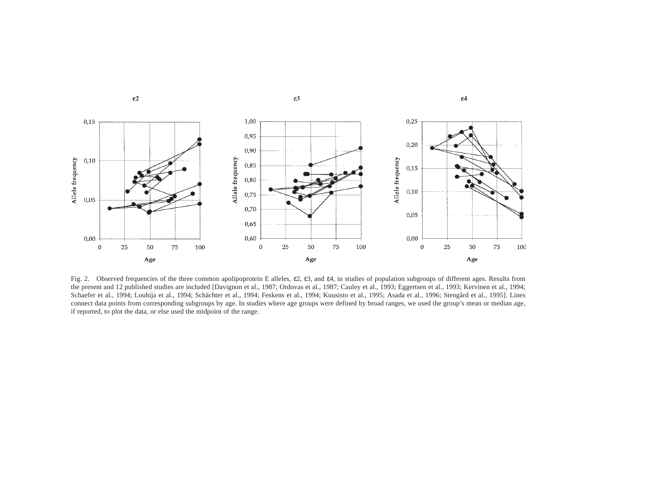

 $\varepsilon$ 2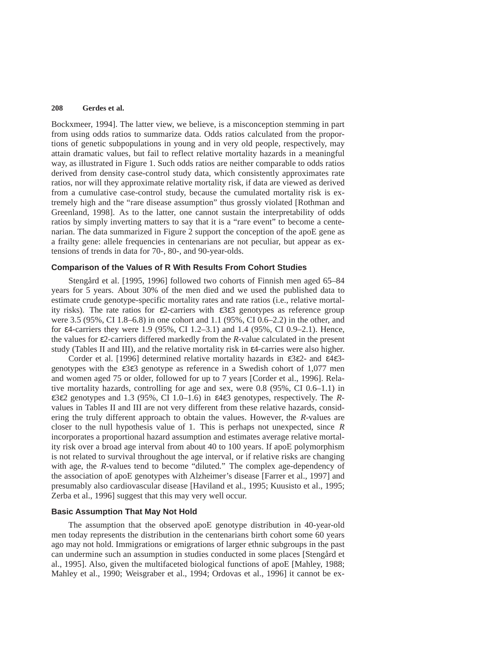Bockxmeer, 1994]. The latter view, we believe, is a misconception stemming in part from using odds ratios to summarize data. Odds ratios calculated from the proportions of genetic subpopulations in young and in very old people, respectively, may attain dramatic values, but fail to reflect relative mortality hazards in a meaningful way, as illustrated in Figure 1. Such odds ratios are neither comparable to odds ratios derived from density case-control study data, which consistently approximates rate ratios, nor will they approximate relative mortality risk, if data are viewed as derived from a cumulative case-control study, because the cumulated mortality risk is extremely high and the "rare disease assumption" thus grossly violated [Rothman and Greenland, 1998]. As to the latter, one cannot sustain the interpretability of odds ratios by simply inverting matters to say that it is a "rare event" to become a centenarian. The data summarized in Figure 2 support the conception of the apoE gene as a frailty gene: allele frequencies in centenarians are not peculiar, but appear as extensions of trends in data for 70-, 80-, and 90-year-olds.

## **Comparison of the Values of R With Results From Cohort Studies**

Stengård et al. [1995, 1996] followed two cohorts of Finnish men aged 65–84 years for 5 years. About 30% of the men died and we used the published data to estimate crude genotype-specific mortality rates and rate ratios (i.e., relative mortality risks). The rate ratios for ε2-carriers with ε3ε3 genotypes as reference group were 3.5 (95%, CI 1.8–6.8) in one cohort and 1.1 (95%, CI 0.6–2.2) in the other, and for ε4-carriers they were 1.9 (95%, CI 1.2–3.1) and 1.4 (95%, CI 0.9–2.1). Hence, the values for ε2-carriers differed markedly from the *R*-value calculated in the present study (Tables II and III), and the relative mortality risk in ε4-carries were also higher.

Corder et al. [1996] determined relative mortality hazards in ε3ε2- and ε4ε3 genotypes with the ε3ε3 genotype as reference in a Swedish cohort of 1,077 men and women aged 75 or older, followed for up to 7 years [Corder et al., 1996]. Relative mortality hazards, controlling for age and sex, were 0.8 (95%, CI 0.6–1.1) in ε3ε2 genotypes and 1.3 (95%, CI 1.0–1.6) in ε4ε3 genotypes, respectively. The *R*values in Tables II and III are not very different from these relative hazards, considering the truly different approach to obtain the values. However, the *R*-values are closer to the null hypothesis value of 1. This is perhaps not unexpected, since *R* incorporates a proportional hazard assumption and estimates average relative mortality risk over a broad age interval from about 40 to 100 years. If apoE polymorphism is not related to survival throughout the age interval, or if relative risks are changing with age, the *R*-values tend to become "diluted." The complex age-dependency of the association of apoE genotypes with Alzheimer's disease [Farrer et al., 1997] and presumably also cardiovascular disease [Haviland et al., 1995; Kuusisto et al., 1995; Zerba et al., 1996] suggest that this may very well occur.

## **Basic Assumption That May Not Hold**

The assumption that the observed apoE genotype distribution in 40-year-old men today represents the distribution in the centenarians birth cohort some 60 years ago may not hold. Immigrations or emigrations of larger ethnic subgroups in the past can undermine such an assumption in studies conducted in some places [Stengård et al., 1995]. Also, given the multifaceted biological functions of apoE [Mahley, 1988; Mahley et al., 1990; Weisgraber et al., 1994; Ordovas et al., 1996] it cannot be ex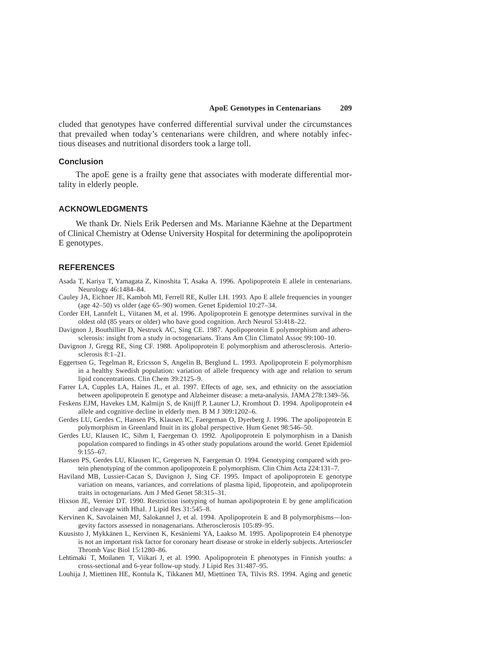cluded that genotypes have conferred differential survival under the circumstances that prevailed when today's centenarians were children, and where notably infectious diseases and nutritional disorders took a large toll.

### **Conclusion**

The apoE gene is a frailty gene that associates with moderate differential mortality in elderly people.

#### **ACKNOWLEDGMENTS**

We thank Dr. Niels Erik Pedersen and Ms. Marianne Käehne at the Department of Clinical Chemistry at Odense University Hospital for determining the apolipoprotein E genotypes.

## **REFERENCES**

- Asada T, Kariya T, Yamagata Z, Kinoshita T, Asaka A. 1996. Apolipoprotein E allele in centenarians. Neurology 46:1484–84.
- Cauley JA, Eichner JE, Kamboh MI, Ferrell RE, Kuller LH. 1993. Apo E allele frequencies in younger (age 42–50) vs older (age 65–90) women. Genet Epidemiol 10:27–34.
- Corder EH, Lannfelt L, Viitanen M, et al. 1996. Apolipoprotein E genotype determines survival in the oldest old (85 years or older) who have good cognition. Arch Neurol 53:418–22.
- Davignon J, Bouthillier D, Nestruck AC, Sing CE. 1987. Apolipoprotein E polymorphism and atherosclerosis: insight from a study in octogenarians. Trans Am Clin Climatol Assoc 99:100–10.
- Davignon J, Gregg RE, Sing CF. 1988. Apolipoprotein E polymorphism and atherosclerosis. Arteriosclerosis 8:1–21.
- Eggertsen G, Tegelman R, Ericsson S, Angelin B, Berglund L. 1993. Apolipoprotein E polymorphism in a healthy Swedish population: variation of allele frequency with age and relation to serum lipid concentrations. Clin Chem 39:2125–9.
- Farrer LA, Cupples LA, Haines JL, et al. 1997. Effects of age, sex, and ethnicity on the association between apolipoprotein E genotype and Alzheimer disease: a meta-analysis. JAMA 278:1349–56.
- Feskens EJM, Havekes LM, Kalmijn S, de Knijff P, Launer LJ, Kromhout D. 1994. Apolipoprotein e4 allele and cognitive decline in elderly men. B M J 309:1202–6.
- Gerdes LU, Gerdes C, Hansen PS, Klausen IC, Faergeman O, Dyerberg J. 1996. The apolipoprotein E polymorphism in Greenland Inuit in its global perspective. Hum Genet 98:546–50.
- Gerdes LU, Klausen IC, Sihm I, Faergeman O. 1992. Apolipoprotein E polymorphism in a Danish population compared to findings in 45 other study populations around the world. Genet Epidemiol 9:155–67.
- Hansen PS, Gerdes LU, Klausen IC, Gregersen N, Faergeman O. 1994. Genotyping compared with protein phenotyping of the common apolipoprotein E polymorphism. Clin Chim Acta 224:131–7.
- Haviland MB, Lussier-Cacan S, Davignon J, Sing CF. 1995. Impact of apolipoprotein E genotype variation on means, variances, and correlations of plasma lipid, lipoprotein, and apolipoprotein traits in octogenarians. Am J Med Genet 58:315–31.
- Hixson JE, Vernier DT. 1990. Restriction isotyping of human apolipoprotein E by gene amplification and cleavage with HhaI. J Lipid Res 31:545–8.
- Kervinen K, Savolainen MJ, Salokannel J, et al. 1994. Apolipoprotein E and B polymorphisms—longevity factors assessed in nonagenarians. Atherosclerosis 105:89–95.
- Kuusisto J, Mykkänen L, Kervinen K, Kesäniemi YA, Laakso M. 1995. Apolipoprotein E4 phenotype is not an important risk factor for coronary heart disease or stroke in elderly subjects. Arterioscler Thromb Vasc Biol 15:1280–86.
- Lehtimaki T, Moilanen T, Viikari J, et al. 1990. Apolipoprotein E phenotypes in Finnish youths: a cross-sectional and 6-year follow-up study. J Lipid Res 31:487–95.
- Louhija J, Miettinen HE, Kontula K, Tikkanen MJ, Miettinen TA, Tilvis RS. 1994. Aging and genetic